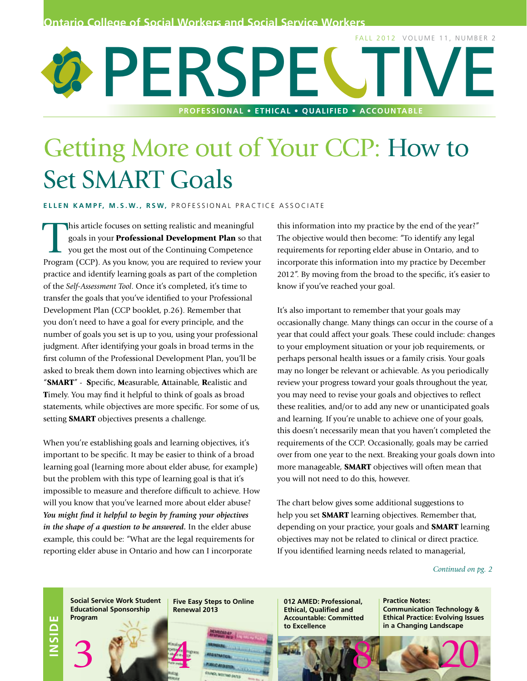# PERS FALL 2012 VOLUME 11, NUMBER 2 **PROFESSIONNAL • ETHICAL • QUALIFIED • ACCOUNTABLE PROFESSIONAL • ETHICAL • QUALIFIED • ACCOUNTABLE**

# Getting More out of Your CCP: How to Set SMART Goals

**ELLEN KAMPF, M.S.W., RSW, PROFESSIONAL PRACTICE ASSOCIATE** 

This article focuses on setting realistic and meaningful<br>goals in your **Professional Development Plan** so the<br>you get the most out of the Continuing Competence<br>Program (CCP), As you know you are required to review you goals in your Professional Development Plan so that you get the most out of the Continuing Competence Program (CCP). As you know, you are required to review your practice and identify learning goals as part of the completion of the *Self-Assessment Tool*. Once it's completed, it's time to transfer the goals that you've identified to your Professional Development Plan (CCP booklet, p.26). Remember that you don't need to have a goal for every principle, and the number of goals you set is up to you, using your professional judgment. After identifying your goals in broad terms in the first column of the Professional Development Plan, you'll be asked to break them down into learning objectives which are "SMART" - Specific, Measurable, Attainable, Realistic and Timely. You may find it helpful to think of goals as broad statements, while objectives are more specific. For some of us, setting SMART objectives presents a challenge.

When you're establishing goals and learning objectives, it's important to be specific. It may be easier to think of a broad learning goal (learning more about elder abuse, for example) but the problem with this type of learning goal is that it's impossible to measure and therefore difficult to achieve. How will you know that you've learned more about elder abuse? *You might find it helpful to begin by framing your objectives in the shape of a question to be answered.* In the elder abuse example, this could be: "What are the legal requirements for reporting elder abuse in Ontario and how can I incorporate

this information into my practice by the end of the year?" The objective would then become: "To identify any legal requirements for reporting elder abuse in Ontario, and to incorporate this information into my practice by December 2012". By moving from the broad to the specific, it's easier to know if you've reached your goal.

It's also important to remember that your goals may occasionally change. Many things can occur in the course of a year that could affect your goals. These could include: changes to your employment situation or your job requirements, or perhaps personal health issues or a family crisis. Your goals may no longer be relevant or achievable. As you periodically review your progress toward your goals throughout the year, you may need to revise your goals and objectives to reflect these realities, and/or to add any new or unanticipated goals and learning. If you're unable to achieve one of your goals, this doesn't necessarily mean that you haven't completed the requirements of the CCP. Occasionally, goals may be carried over from one year to the next. Breaking your goals down into more manageable, **SMART** objectives will often mean that you will not need to do this, however.

The chart below gives some additional suggestions to help you set **SMART** learning objectives. Remember that, depending on your practice, your goals and **SMART** learning objectives may not be related to clinical or direct practice. If you identified learning needs related to managerial,

*Continued on pg. 2*

**INSIDE**

3

**Social Service Work Student Educational Sponsorship Program**

**Five Easy Steps to Online Renewal 2013**

**012 AMED: Professional, Ethical, Qualified and Accountable: Committed to Excellence**

**Practice Notes: Communication Technology & Ethical Practice: Evolving Issues in a Changing Landscape**